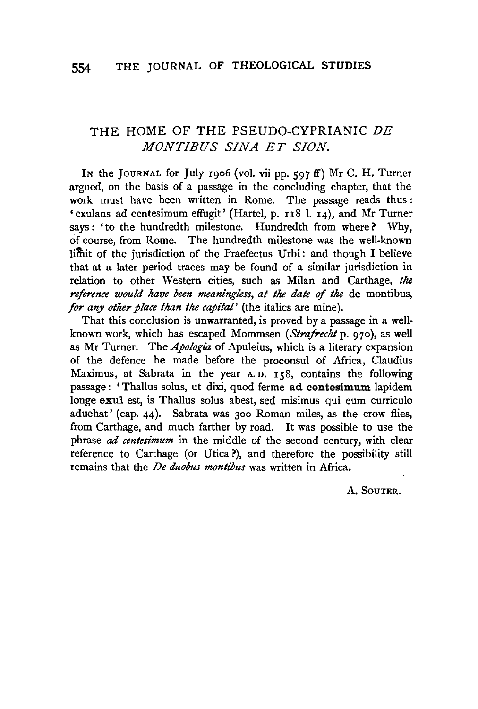## THE HOME OF THE PSEUDO-CYPRIANIC DE *MONT/BUS SINA ET SION.*

In the JOURNAL for July 1906 (vol. vii pp.  $597$  ff) Mr C. H. Turner argued, on the basis of a passage in the concluding chapter, that the work must have been written in Rome. The passage reads thus:  $\cdot$  exulans ad centesimum effugit' (Hartel, p. 118 1. 14), and Mr Turner says: 'to the hundredth milestone. Hundredth from where? Why, of course, from Rome. The hundredth milestone was the well-known limit of the jurisdiction of the Praefectus Urbi: and though I believe that at a later period traces may be found of a similar jurisdiction in relation to other Western cities, such as Milan and Carthage, the *reference would have been meaningless, at the date of the de montibus, for any other place than the capital'* (the italics are mine).

That this conclusion is unwarranted, is proved by a passage in a wellknown work, which has escaped Mommsen *(Strafrecht* p. 970), as well as Mr Turner. The *Apologia* of Apuleius, which is a literary expansion of the defence he made before the proconsul of Africa, Claudius Maximus, at Sabrata in the year A.D. 158, contains the following passage: 'Thallus solus, ut dixi, quod ferme ad centesimum lapidem longe exul est, is Thallus solus abest, sed misimus qui eum curriculo aduehat' (cap. 44). Sabrata was 300 Roman miles, as the crow flies, from Carthage, and much farther by road. It was possible to use the phrase *ad centesimum* in the middle of the second century, with clear reference to Carthage (or Utica?), and therefore the possibility still remains that the *De duobus montibus* was written in Africa.

A. SOUTER.